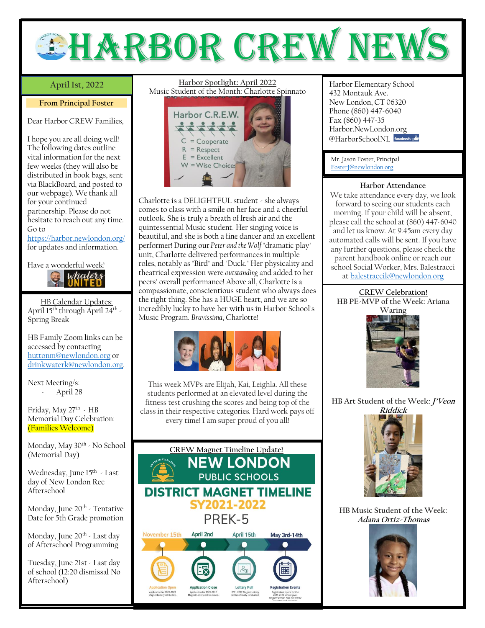

### April 1st, 2022

#### **From Principal Foster**

Dear Harbor CREW Families,

I hope you are all doing well! The following dates outline vital information for the next few weeks (they will also be distributed in book bags, sent via BlackBoard, and posted to our webpage). We thank all for your continued partnership. Please do not hesitate to reach out any time. Go to

<https://harbor.newlondon.org/> for updates and information.

Have a wonderful week!<br>
Whalev



HB Calendar Updates: April 15<sup>th</sup> through April 24<sup>th</sup> -Spring Break

HB Family Zoom links can be accessed by contacting [huttonm@newlondon.org](mailto:huttonm@newlondon.org) or [drinkwaterk@newlondon.org.](mailto:drinkwaterk@newlondon.org)

Next Meeting/s: April 28

Friday, May 27<sup>th</sup> - HB Memorial Day Celebration: (Families Welcome)

Monday, May 30<sup>th</sup> - No School (Memorial Day)

Wednesday, June 15<sup>th</sup> - Last day of New London Rec Afterschool

Monday, June 20<sup>th</sup> - Tentative Date for 5th Grade promotion

Monday, June 20<sup>th</sup> - Last day of Afterschool Programming

Tuesday, June 21st - Last day of school (12:20 dismissal No Afterschool)

## **Harbor Spotlight: April 2022** Music Student of the Month: Charlotte Spinnato



Charlotte is a DELIGHTFUL student - she always comes to class with a smile on her face and a cheerful outlook. She is truly a breath of fresh air and the quintessential Music student. Her singing voice is beautiful, and she is both a fine dancer and an excellent performer! During our *Peter and the Wolf* "dramatic play" unit, Charlotte delivered performances in multiple roles, notably as "Bird" and "Duck." Her physicality and theatrical expression were *outstanding* and added to her peers' overall performance! Above all, Charlotte is a compassionate, conscientious student who always does the right thing. She has a HUGE heart, and we are so incredibly lucky to have her with us in Harbor School's Music Program. *Bravissima*, Charlotte!



This week MVPs are Elijah, Kai, Leighla. All these students performed at an elevated level during the fitness test crushing the scores and being top of the class in their respective categories. Hard work pays off every time! I am super proud of you all!



**Harbor Elementary School** 432 Montauk Ave. New London, CT 06320 Phone (860) 447-6040 Fax (860) 447-35 Harbor.NewLondon.org @HarborSchoolNI facebook

Mr. Jason Foster, Principal [FosterJ@newlondon.org](mailto:FosterJ@newlondon.org)

# **Harbor Attendance**

We take attendance every day, we look forward to seeing our students each morning. If your child will be absent, please call the school at (860) 447-6040 and let us know. At 9:45am every day automated calls will be sent. If you have any further questions, please check the parent handbook online or reach our school Social Worker, Mrs. Balestracci a[t balestraccik@newlondon.org](mailto:balestraccik@newlondon.org)

**CREW Celebration! HB PE-MVP of the Week: Ariana** 



**HB Art Student of the Week: J'Veon Riddick**



**HB Music Student of the Week: Adana Ortiz-Thomas**